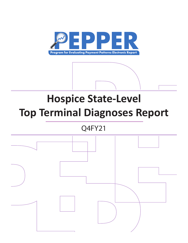

# **Hospice State-Level Top Terminal Diagnoses Report**

# Q4FY21

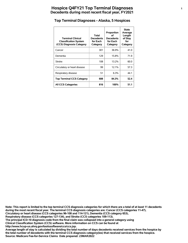#### **Top Terminal Diagnoses - Alaska, 5 Hospices**

| <b>Terminal Clinical</b><br><b>Classification System</b><br>(CCS) Diagnosis Category | Total<br><b>Decedents</b><br>for Each<br>Category | Proportion<br>οf<br><b>Decedents</b><br>for Each<br>Category | <b>State</b><br>Average<br>Length<br>of Stay<br>for<br>Category |
|--------------------------------------------------------------------------------------|---------------------------------------------------|--------------------------------------------------------------|-----------------------------------------------------------------|
| Cancer                                                                               | 301                                               | 36.9%                                                        | 41.0                                                            |
| Dementia                                                                             | 129                                               | 15.8%                                                        | 71.9                                                            |
| Stroke                                                                               | 108                                               | 13.2%                                                        | 60.0                                                            |
| Circulatory or heart disease                                                         | 99                                                | 12.1%                                                        | 57.3                                                            |
| Respiratory disease                                                                  | 51                                                | 6.3%                                                         | 441                                                             |
| <b>Top Terminal CCS Category</b>                                                     | 688                                               | 84.3%                                                        | 52.4                                                            |
| <b>All CCS Categories</b>                                                            | 816                                               | 100%                                                         | 51.1                                                            |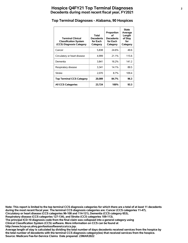# **Hospice Q4FY21 Top Terminal Diagnoses <sup>2</sup> Decedents during most recent fiscal year, FY2021**

#### **Top Terminal Diagnoses - Alabama, 90 Hospices**

| <b>Terminal Clinical</b><br><b>Classification System</b><br>(CCS) Diagnosis Category | Total<br><b>Decedents</b><br>for Each<br>Category | Proportion<br>οf<br><b>Decedents</b><br>for Each<br>Category | <b>State</b><br>Average<br>Length<br>of Stay<br>for<br>Category |
|--------------------------------------------------------------------------------------|---------------------------------------------------|--------------------------------------------------------------|-----------------------------------------------------------------|
| Cancer                                                                               | 5,838                                             | 24.6%                                                        | 49.6                                                            |
| Circulatory or heart disease                                                         | 4,999                                             | 21.1%                                                        | 115.6                                                           |
| Dementia                                                                             | 3,841                                             | 16.2%                                                        | 141.2                                                           |
| Respiratory disease                                                                  | 3,341                                             | 14.1%                                                        | 89.5                                                            |
| <b>Stroke</b>                                                                        | 2,070                                             | 8.7%                                                         | 109.4                                                           |
| <b>Top Terminal CCS Category</b>                                                     | 20,089                                            | 84.7%                                                        | 96.3                                                            |
| <b>All CCS Categories</b>                                                            | 23,724                                            | 100%                                                         | 93.3                                                            |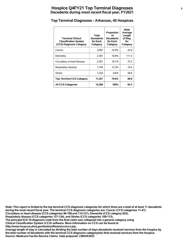# **Hospice Q4FY21 Top Terminal Diagnoses <sup>3</sup> Decedents during most recent fiscal year, FY2021**

# **Top Terminal Diagnoses - Arkansas, 45 Hospices**

| <b>Terminal Clinical</b><br><b>Classification System</b><br>(CCS) Diagnosis Category | Total<br><b>Decedents</b><br>for Each<br>Category | Proportion<br>Ωf<br><b>Decedents</b><br>for Each<br>Category | <b>State</b><br>Average<br>Length<br>of Stay<br>for<br>Category |
|--------------------------------------------------------------------------------------|---------------------------------------------------|--------------------------------------------------------------|-----------------------------------------------------------------|
| Cancer                                                                               | 3,697                                             | 25.9%                                                        | 42.8                                                            |
| Dementia                                                                             | 2,391                                             | 16.8%                                                        | 111.5                                                           |
| Circulatory or heart disease                                                         | 2,301                                             | 16.1%                                                        | 72.2                                                            |
| Respiratory disease                                                                  | 1,744                                             | 12.2%                                                        | 74.4                                                            |
| <b>Stroke</b>                                                                        | 1,224                                             | 8.6%                                                         | 58.6                                                            |
| <b>Top Terminal CCS Category</b>                                                     | 11,357                                            | 79.6%                                                        | 69.8                                                            |
| <b>All CCS Categories</b>                                                            | 14,266                                            | 100%                                                         | 63.3                                                            |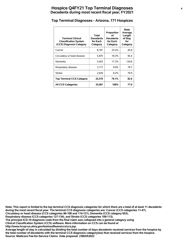# **Hospice Q4FY21 Top Terminal Diagnoses <sup>4</sup> Decedents during most recent fiscal year, FY2021**

#### **Top Terminal Diagnoses - Arizona, 171 Hospices**

| <b>Terminal Clinical</b><br><b>Classification System</b><br>(CCS) Diagnosis Category | Total<br><b>Decedents</b><br>for Each<br>Category | Proportion<br>Ωf<br><b>Decedents</b><br>for Each<br>Category | <b>State</b><br>Average<br>Length<br>of Stay<br>for<br>Category |
|--------------------------------------------------------------------------------------|---------------------------------------------------|--------------------------------------------------------------|-----------------------------------------------------------------|
| Cancer                                                                               | 8,181                                             | 25.5%                                                        | 45.8                                                            |
| Circulatory or heart disease                                                         | 5,870                                             | 18.3%                                                        | 95.4                                                            |
| Dementia                                                                             | 5.503                                             | 17.2%                                                        | 126.8                                                           |
| Respiratory disease                                                                  | 3,177                                             | $9.9\%$                                                      | 79.7                                                            |
| <b>Stroke</b>                                                                        | 2,639                                             | 8.2%                                                         | 79.9                                                            |
| <b>Top Terminal CCS Category</b>                                                     | 25,370                                            | 79.1%                                                        | 82.6                                                            |
| <b>All CCS Categories</b>                                                            | 32,067                                            | 100%                                                         | 77.0                                                            |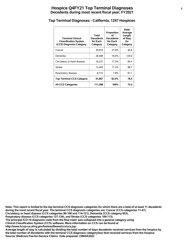# **Hospice Q4FY21 Top Terminal Diagnoses <sup>5</sup> Decedents during most recent fiscal year, FY2021**

# **Top Terminal Diagnoses - California, 1247 Hospices**

| <b>Terminal Clinical</b><br><b>Classification System</b><br>(CCS) Diagnosis Category | Total<br><b>Decedents</b><br>for Each<br>Category | Proportion<br>οf<br><b>Decedents</b><br>for Each<br>Category | <b>State</b><br>Average<br>Length<br>of Stay<br>for<br>Category |
|--------------------------------------------------------------------------------------|---------------------------------------------------|--------------------------------------------------------------|-----------------------------------------------------------------|
| Cancer                                                                               | 30,919                                            | 27.8%                                                        | 45.8                                                            |
| Dementia                                                                             | 20.448                                            | 18.4%                                                        | 120.0                                                           |
| Circulatory or heart disease                                                         | 19,237                                            | 17.3%                                                        | 85.4                                                            |
| <b>Stroke</b>                                                                        | 12,493                                            | 11.2%                                                        | 88.7                                                            |
| Respiratory disease                                                                  | 8,710                                             | 7.8%                                                         | 67.1                                                            |
| <b>Top Terminal CCS Category</b>                                                     | 91,807                                            | 82.5%                                                        | 78.5                                                            |
| <b>All CCS Categories</b>                                                            | 111,288                                           | 100%                                                         | 75.4                                                            |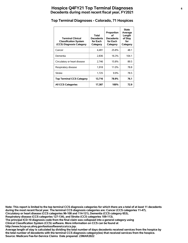# **Hospice Q4FY21 Top Terminal Diagnoses <sup>6</sup> Decedents during most recent fiscal year, FY2021**

# **Top Terminal Diagnoses - Colorado, 71 Hospices**

| <b>Terminal Clinical</b><br><b>Classification System</b><br>(CCS) Diagnosis Category | Total<br><b>Decedents</b><br>for Each<br>Category | Proportion<br>οf<br><b>Decedents</b><br>for Each<br>Category | <b>State</b><br>Average<br>Length<br>of Stay<br>for<br>Category |
|--------------------------------------------------------------------------------------|---------------------------------------------------|--------------------------------------------------------------|-----------------------------------------------------------------|
| Cancer                                                                               | 4,491                                             | 25.8%                                                        | 48.1                                                            |
| Dementia                                                                             | 2,836                                             | 16.3%                                                        | 104.1                                                           |
| Circulatory or heart disease                                                         | 2.746                                             | 15.8%                                                        | 89.5                                                            |
| Respiratory disease                                                                  | 1.918                                             | 11.0%                                                        | 78.8                                                            |
| <b>Stroke</b>                                                                        | 1,725                                             | $9.9\%$                                                      | 78.5                                                            |
| <b>Top Terminal CCS Category</b>                                                     | 13,716                                            | 78.9%                                                        | 76.1                                                            |
| <b>All CCS Categories</b>                                                            | 17,387                                            | 100%                                                         | 72.9                                                            |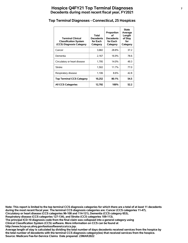# **Hospice Q4FY21 Top Terminal Diagnoses <sup>7</sup> Decedents during most recent fiscal year, FY2021**

#### **Top Terminal Diagnoses - Connecticut, 25 Hospices**

| <b>Terminal Clinical</b><br><b>Classification System</b><br>(CCS) Diagnosis Category | Total<br><b>Decedents</b><br>for Each<br>Category | Proportion<br>Ωf<br><b>Decedents</b><br>for Each<br>Category | <b>State</b><br>Average<br>Length<br>of Stay<br>for<br>Category |
|--------------------------------------------------------------------------------------|---------------------------------------------------|--------------------------------------------------------------|-----------------------------------------------------------------|
| Cancer                                                                               | 3,682                                             | 28.8%                                                        | 37.2                                                            |
| Dementia                                                                             | 2.167                                             | 16.9%                                                        | 78.6                                                            |
| Circulatory or heart disease                                                         | 1.795                                             | 14.0%                                                        | 49.3                                                            |
| <b>Stroke</b>                                                                        | 1,502                                             | 11.7%                                                        | 77.0                                                            |
| Respiratory disease                                                                  | 1,106                                             | 8.6%                                                         | 42.8                                                            |
| <b>Top Terminal CCS Category</b>                                                     | 10,252                                            | 80.1%                                                        | 54.5                                                            |
| <b>All CCS Categories</b>                                                            | 12,792                                            | 100%                                                         | 52.2                                                            |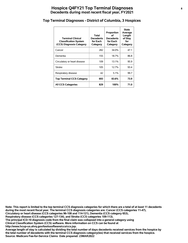# **Hospice Q4FY21 Top Terminal Diagnoses <sup>8</sup> Decedents during most recent fiscal year, FY2021**

#### **Top Terminal Diagnoses - District of Columbia, 3 Hospices**

| <b>Terminal Clinical</b><br><b>Classification System</b><br>(CCS) Diagnosis Category | Total<br>Decedents<br>for Each<br>Category | Proportion<br>οf<br><b>Decedents</b><br>for Each<br>Category | <b>State</b><br>Average<br>Length<br>of Stay<br>for<br>Category |
|--------------------------------------------------------------------------------------|--------------------------------------------|--------------------------------------------------------------|-----------------------------------------------------------------|
| Cancer                                                                               | 282                                        | 34.0%                                                        | 47.1                                                            |
| Dementia                                                                             | 155                                        | 18.7%                                                        | 86.8                                                            |
| Circulatory or heart disease                                                         | 109                                        | 13.1%                                                        | 95.9                                                            |
| <b>Stroke</b>                                                                        | 105                                        | 12.7%                                                        | 93.4                                                            |
| Respiratory disease                                                                  | 42                                         | 5.1%                                                         | 99.7                                                            |
| <b>Top Terminal CCS Category</b>                                                     | 693                                        | 83.6%                                                        | 73.9                                                            |
| <b>All CCS Categories</b>                                                            | 829                                        | 100%                                                         | 71.0                                                            |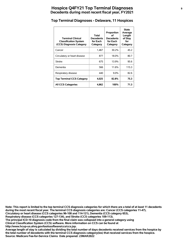# **Hospice Q4FY21 Top Terminal Diagnoses <sup>9</sup> Decedents during most recent fiscal year, FY2021**

#### **Top Terminal Diagnoses - Delaware, 11 Hospices**

| <b>Terminal Clinical</b><br><b>Classification System</b><br>(CCS) Diagnosis Category | Total<br><b>Decedents</b><br>for Each<br>Category | Proportion<br>οf<br><b>Decedents</b><br>for Each<br>Category | <b>State</b><br>Average<br>Length<br>of Stay<br>for<br>Category |
|--------------------------------------------------------------------------------------|---------------------------------------------------|--------------------------------------------------------------|-----------------------------------------------------------------|
| Cancer                                                                               | 1,467                                             | 30.2%                                                        | 45.2                                                            |
| Circulatory or heart disease                                                         | 877                                               | 18.0%                                                        | 80.7                                                            |
| <b>Stroke</b>                                                                        | 675                                               | 13.9%                                                        | 95.6                                                            |
| Dementia                                                                             | 566                                               | 11.6%                                                        | 115.3                                                           |
| Respiratory disease                                                                  | 440                                               | $9.0\%$                                                      | 82.6                                                            |
| <b>Top Terminal CCS Category</b>                                                     | 4,025                                             | 82.8%                                                        | 75.3                                                            |
| <b>All CCS Categories</b>                                                            | 4,862                                             | 100%                                                         | 71.3                                                            |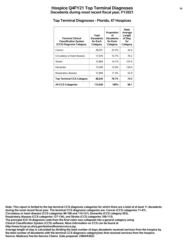# **Hospice Q4FY21 Top Terminal Diagnoses <sup>10</sup> Decedents during most recent fiscal year, FY2021**

#### **Top Terminal Diagnoses - Florida, 47 Hospices**

| <b>Terminal Clinical</b><br><b>Classification System</b><br>(CCS) Diagnosis Category | Total<br><b>Decedents</b><br>for Each<br>Category | Proportion<br>οf<br><b>Decedents</b><br>for Each<br>Category | <b>State</b><br>Average<br>Length<br>of Stay<br>for<br>Category |
|--------------------------------------------------------------------------------------|---------------------------------------------------|--------------------------------------------------------------|-----------------------------------------------------------------|
| Cancer                                                                               | 28,551                                            | 25.3%                                                        | 42.4                                                            |
| Circulatory or heart disease                                                         | 17.676                                            | 15.7%                                                        | 76.2                                                            |
| <b>Stroke</b>                                                                        | 15,864                                            | 14.1%                                                        | 107.6                                                           |
| Dementia                                                                             | 13,549                                            | 12.0%                                                        | 120.4                                                           |
| Respiratory disease                                                                  | 12,994                                            | 11.5%                                                        | 52.9                                                            |
| <b>Top Terminal CCS Category</b>                                                     | 88,634                                            | 78.7%                                                        | 74.3                                                            |
| <b>All CCS Categories</b>                                                            | 112,630                                           | 100%                                                         | 68.1                                                            |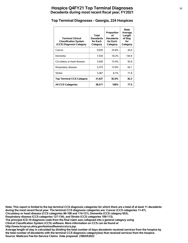# **Hospice Q4FY21 Top Terminal Diagnoses <sup>11</sup> Decedents during most recent fiscal year, FY2021**

#### **Top Terminal Diagnoses - Georgia, 224 Hospices**

| <b>Terminal Clinical</b><br><b>Classification System</b><br>(CCS) Diagnosis Category | Total<br><b>Decedents</b><br>for Each<br>Category | Proportion<br>οf<br><b>Decedents</b><br>for Each<br>Category | <b>State</b><br>Average<br>Length<br>of Stay<br>for<br>Category |
|--------------------------------------------------------------------------------------|---------------------------------------------------|--------------------------------------------------------------|-----------------------------------------------------------------|
| Cancer                                                                               | 9,935                                             | 25.8%                                                        | 45.6                                                            |
| Dementia                                                                             | 7.034                                             | 18.2%                                                        | 144.9                                                           |
| Circulatory or heart disease                                                         | 5,926                                             | 15.4%                                                        | 92.8                                                            |
| Respiratory disease                                                                  | 5,375                                             | 13.9%                                                        | 63.1                                                            |
| <b>Stroke</b>                                                                        | 3,367                                             | 8.7%                                                         | 71.8                                                            |
| <b>Top Terminal CCS Category</b>                                                     | 31,637                                            | 82.0%                                                        | 82.3                                                            |
| <b>All CCS Categories</b>                                                            | 38,571                                            | 100%                                                         | 77.5                                                            |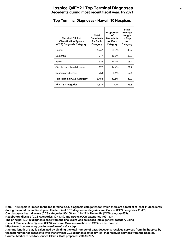# **Hospice Q4FY21 Top Terminal Diagnoses <sup>12</sup> Decedents during most recent fiscal year, FY2021**

#### **Top Terminal Diagnoses - Hawaii, 10 Hospices**

| <b>Terminal Clinical</b><br><b>Classification System</b><br>(CCS) Diagnosis Category | Total<br><b>Decedents</b><br>for Each<br>Category | Proportion<br>οf<br><b>Decedents</b><br>for Each<br>Category | <b>State</b><br>Average<br>Length<br>of Stay<br>for<br>Category |
|--------------------------------------------------------------------------------------|---------------------------------------------------|--------------------------------------------------------------|-----------------------------------------------------------------|
| Cancer                                                                               | 1,247                                             | 28.8%                                                        | 49.7                                                            |
| Dementia                                                                             | 717                                               | 16.6%                                                        | 130.2                                                           |
| <b>Stroke</b>                                                                        | 635                                               | 14.7%                                                        | 108.4                                                           |
| Circulatory or heart disease                                                         | 623                                               | 14.4%                                                        | 71.7                                                            |
| Respiratory disease                                                                  | 264                                               | 6.1%                                                         | 67.1                                                            |
| <b>Top Terminal CCS Category</b>                                                     | 3,486                                             | 80.5%                                                        | 82.2                                                            |
| <b>All CCS Categories</b>                                                            | 4,330                                             | 100%                                                         | 79.8                                                            |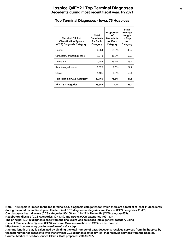#### **Top Terminal Diagnoses - Iowa, 75 Hospices**

| <b>Terminal Clinical</b><br><b>Classification System</b><br>(CCS) Diagnosis Category | Total<br><b>Decedents</b><br>for Each<br>Category | Proportion<br>οf<br><b>Decedents</b><br>for Each<br>Category | <b>State</b><br>Average<br>Length<br>of Stay<br>for<br>Category |
|--------------------------------------------------------------------------------------|---------------------------------------------------|--------------------------------------------------------------|-----------------------------------------------------------------|
| Cancer                                                                               | 4.064                                             | 25.5%                                                        | 45.2                                                            |
| Circulatory or heart disease                                                         | 3,018                                             | 18.9%                                                        | 59.7                                                            |
| Dementia                                                                             | 2,452                                             | 15.4%                                                        | 95.7                                                            |
| Respiratory disease                                                                  | 1,525                                             | 9.6%                                                         | 62.7                                                            |
| Stroke                                                                               | 1,106                                             | 6.9%                                                         | 50.4                                                            |
| <b>Top Terminal CCS Category</b>                                                     | 12,165                                            | 76.3%                                                        | 61.6                                                            |
| <b>All CCS Categories</b>                                                            | 15,944                                            | 100%                                                         | 56.4                                                            |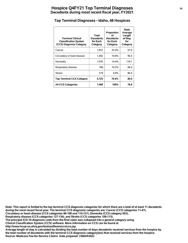#### **Top Terminal Diagnoses - Idaho, 48 Hospices**

| <b>Terminal Clinical</b><br><b>Classification System</b><br>(CCS) Diagnosis Category | Total<br><b>Decedents</b><br>for Each<br>Category | Proportion<br>οf<br><b>Decedents</b><br>for Each<br>Category | <b>State</b><br>Average<br>Length<br>of Stay<br>for<br>Category |
|--------------------------------------------------------------------------------------|---------------------------------------------------|--------------------------------------------------------------|-----------------------------------------------------------------|
| Cancer                                                                               | 1,872                                             | 25.0%                                                        | 57.9                                                            |
| Circulatory or heart disease                                                         | 1,492                                             | 19.9%                                                        | 95.0                                                            |
| Dementia                                                                             | 1,076                                             | 14.4%                                                        | 118.1                                                           |
| Respiratory disease                                                                  | 766                                               | 10.2%                                                        | 84.0                                                            |
| <b>Stroke</b>                                                                        | 519                                               | 6.9%                                                         | 86.4                                                            |
| <b>Top Terminal CCS Category</b>                                                     | 5,725                                             | 76.4%                                                        | 85.0                                                            |
| <b>All CCS Categories</b>                                                            | 7,490                                             | 100%                                                         | 78.8                                                            |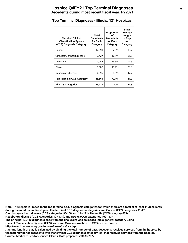# **Hospice Q4FY21 Top Terminal Diagnoses <sup>15</sup> Decedents during most recent fiscal year, FY2021**

#### **Top Terminal Diagnoses - Illinois, 121 Hospices**

| <b>Terminal Clinical</b><br><b>Classification System</b><br>(CCS) Diagnosis Category | Total<br><b>Decedents</b><br>for Each<br>Category | Proportion<br>οf<br><b>Decedents</b><br>for Each<br>Category | <b>State</b><br>Average<br>Length<br>of Stay<br>for<br>Category |
|--------------------------------------------------------------------------------------|---------------------------------------------------|--------------------------------------------------------------|-----------------------------------------------------------------|
| Cancer                                                                               | 12,590                                            | 27.3%                                                        | 39.7                                                            |
| Circulatory or heart disease                                                         | 7,427                                             | 16.1%                                                        | 61.5                                                            |
| Dementia                                                                             | 7.042                                             | 15.3%                                                        | 101.5                                                           |
| <b>Stroke</b>                                                                        | 5,507                                             | 11.9%                                                        | 73.3                                                            |
| Respiratory disease                                                                  | 4,095                                             | 8.9%                                                         | 47.7                                                            |
| <b>Top Terminal CCS Category</b>                                                     | 36,661                                            | 79.4%                                                        | 61.9                                                            |
| <b>All CCS Categories</b>                                                            | 46,177                                            | 100%                                                         | 57.5                                                            |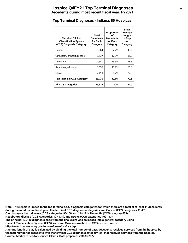# **Hospice Q4FY21 Top Terminal Diagnoses <sup>16</sup> Decedents during most recent fiscal year, FY2021**

#### **Top Terminal Diagnoses - Indiana, 85 Hospices**

| <b>Terminal Clinical</b><br><b>Classification System</b><br>(CCS) Diagnosis Category | Total<br><b>Decedents</b><br>for Each<br>Category | Proportion<br>οf<br><b>Decedents</b><br>for Each<br>Category | <b>State</b><br>Average<br>Length<br>of Stay<br>for<br>Category |
|--------------------------------------------------------------------------------------|---------------------------------------------------|--------------------------------------------------------------|-----------------------------------------------------------------|
| Cancer                                                                               | 8.064                                             | 27.2%                                                        | 43.6                                                            |
| Circulatory or heart disease                                                         | 5,137                                             | 17.3%                                                        | 81.9                                                            |
| Dementia                                                                             | 4,580                                             | 15.5%                                                        | 118.3                                                           |
| Respiratory disease                                                                  | 3,535                                             | 11.9%                                                        | 65.8                                                            |
| <b>Stroke</b>                                                                        | 2,419                                             | 8.2%                                                         | 72.5                                                            |
| <b>Top Terminal CCS Category</b>                                                     | 23,735                                            | 80.1%                                                        | 72.6                                                            |
| <b>All CCS Categories</b>                                                            | 29,625                                            | 100%                                                         | 67.0                                                            |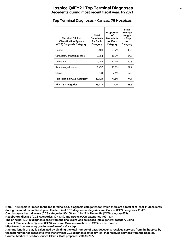#### **Top Terminal Diagnoses - Kansas, 76 Hospices**

| <b>Terminal Clinical</b><br><b>Classification System</b><br>(CCS) Diagnosis Category | Total<br><b>Decedents</b><br>for Each<br>Category | Proportion<br>οf<br><b>Decedents</b><br>for Each<br>Category | <b>State</b><br>Average<br>Length<br>of Stay<br>for<br>Category |
|--------------------------------------------------------------------------------------|---------------------------------------------------|--------------------------------------------------------------|-----------------------------------------------------------------|
| Cancer                                                                               | 3,109                                             | 23.7%                                                        | 49.0                                                            |
| Circulatory or heart disease                                                         | 2,354                                             | 18.0%                                                        | 84.5                                                            |
| Dementia                                                                             | 2,283                                             | 17.4%                                                        | 110.8                                                           |
| Respiratory disease                                                                  | 1,452                                             | 11.1%                                                        | 57.2                                                            |
| <b>Stroke</b>                                                                        | 931                                               | $7.1\%$                                                      | 67.8                                                            |
| <b>Top Terminal CCS Category</b>                                                     | 10,129                                            | 77.3%                                                        | 74.1                                                            |
| <b>All CCS Categories</b>                                                            | 13,110                                            | 100%                                                         | 68.6                                                            |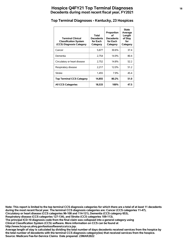# **Hospice Q4FY21 Top Terminal Diagnoses <sup>18</sup> Decedents during most recent fiscal year, FY2021**

# **Top Terminal Diagnoses - Kentucky, 23 Hospices**

| <b>Terminal Clinical</b><br><b>Classification System</b><br>(CCS) Diagnosis Category | Total<br><b>Decedents</b><br>for Each<br>Category | Proportion<br>Ωf<br><b>Decedents</b><br>for Each<br>Category | <b>State</b><br>Average<br>Length<br>of Stay<br>for<br>Category |
|--------------------------------------------------------------------------------------|---------------------------------------------------|--------------------------------------------------------------|-----------------------------------------------------------------|
| Cancer                                                                               | 5.677                                             | 30.6%                                                        | 37.4                                                            |
| Dementia                                                                             | 2,754                                             | 14.9%                                                        | 80.4                                                            |
| Circulatory or heart disease                                                         | 2,752                                             | 14.8%                                                        | 52.2                                                            |
| Respiratory disease                                                                  | 2,217                                             | 12.0%                                                        | 51.2                                                            |
| <b>Stroke</b>                                                                        | 1,455                                             | 7.9%                                                         | 45.4                                                            |
| <b>Top Terminal CCS Category</b>                                                     | 14,855                                            | 80.2%                                                        | 51.0                                                            |
| <b>All CCS Categories</b>                                                            | 18,533                                            | 100%                                                         | 47.5                                                            |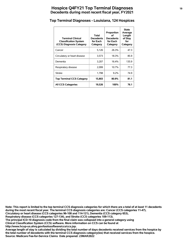# **Hospice Q4FY21 Top Terminal Diagnoses <sup>19</sup> Decedents during most recent fiscal year, FY2021**

# **Top Terminal Diagnoses - Louisiana, 124 Hospices**

| <b>Terminal Clinical</b><br><b>Classification System</b><br>(CCS) Diagnosis Category | Total<br><b>Decedents</b><br>for Each<br>Category | Proportion<br>οf<br><b>Decedents</b><br>for Each<br>Category | <b>State</b><br>Average<br>Length<br>of Stay<br>for<br>Category |
|--------------------------------------------------------------------------------------|---------------------------------------------------|--------------------------------------------------------------|-----------------------------------------------------------------|
| Cancer                                                                               | 5.126                                             | 26.3%                                                        | 47.3                                                            |
| Circulatory or heart disease                                                         | 3,573                                             | 18.3%                                                        | 85.9                                                            |
| Dementia                                                                             | 3.207                                             | 16.4%                                                        | 135.9                                                           |
| Respiratory disease                                                                  | 2,099                                             | 10.7%                                                        | 77.3                                                            |
| <b>Stroke</b>                                                                        | 1.798                                             | $9.2\%$                                                      | 74.9                                                            |
| <b>Top Terminal CCS Category</b>                                                     | 15,803                                            | 80.9%                                                        | 81.1                                                            |
| <b>All CCS Categories</b>                                                            | 19,526                                            | 100%                                                         | 76.1                                                            |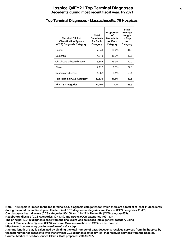# **Hospice Q4FY21 Top Terminal Diagnoses <sup>20</sup> Decedents during most recent fiscal year, FY2021**

#### **Top Terminal Diagnoses - Massachusetts, 70 Hospices**

| <b>Terminal Clinical</b><br><b>Classification System</b><br>(CCS) Diagnosis Category | Total<br>Decedents<br>for Each<br>Category | Proportion<br>οf<br><b>Decedents</b><br>for Each<br>Category | <b>State</b><br>Average<br>Length<br>of Stay<br>for<br>Category |
|--------------------------------------------------------------------------------------|--------------------------------------------|--------------------------------------------------------------|-----------------------------------------------------------------|
| Cancer                                                                               | 7,349                                      | 30.4%                                                        | 44.9                                                            |
| Dementia                                                                             | 4.348                                      | 18.0%                                                        | 112.6                                                           |
| Circulatory or heart disease                                                         | 3,854                                      | 15.9%                                                        | 70.0                                                            |
| <b>Stroke</b>                                                                        | 2,117                                      | 8.8%                                                         | 72.8                                                            |
| Respiratory disease                                                                  | 1,962                                      | 8.1%                                                         | 65.1                                                            |
| <b>Top Terminal CCS Category</b>                                                     | 19,630                                     | 81.1%                                                        | 69.8                                                            |
| <b>All CCS Categories</b>                                                            | 24,191                                     | 100%                                                         | 66.9                                                            |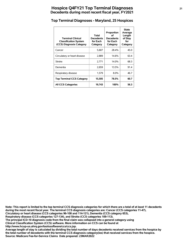# **Hospice Q4FY21 Top Terminal Diagnoses <sup>21</sup> Decedents during most recent fiscal year, FY2021**

#### **Top Terminal Diagnoses - Maryland, 25 Hospices**

| <b>Terminal Clinical</b><br><b>Classification System</b><br>(CCS) Diagnosis Category | Total<br><b>Decedents</b><br>for Each<br>Category | Proportion<br>Ωf<br><b>Decedents</b><br>for Each<br>Category | <b>State</b><br>Average<br>Length<br>of Stay<br>for<br>Category |
|--------------------------------------------------------------------------------------|---------------------------------------------------|--------------------------------------------------------------|-----------------------------------------------------------------|
| Cancer                                                                               | 5,607                                             | 28.4%                                                        | 45.0                                                            |
| Circulatory or heart disease                                                         | 2.889                                             | 14.6%                                                        | 63.4                                                            |
| <b>Stroke</b>                                                                        | 2,771                                             | 14.0%                                                        | 68.3                                                            |
| Dementia                                                                             | 2,659                                             | 13.5%                                                        | 91.4                                                            |
| Respiratory disease                                                                  | 1,579                                             | 8.0%                                                         | 46.7                                                            |
| <b>Top Terminal CCS Category</b>                                                     | 15,505                                            | 78.5%                                                        | 60.7                                                            |
| <b>All CCS Categories</b>                                                            | 19,743                                            | 100%                                                         | 56.3                                                            |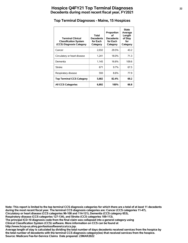# **Hospice Q4FY21 Top Terminal Diagnoses <sup>22</sup> Decedents during most recent fiscal year, FY2021**

#### **Top Terminal Diagnoses - Maine, 15 Hospices**

| <b>Terminal Clinical</b><br><b>Classification System</b><br>(CCS) Diagnosis Category | Total<br><b>Decedents</b><br>for Each<br>Category | Proportion<br>οf<br><b>Decedents</b><br>for Each<br>Category | <b>State</b><br>Average<br>Length<br>of Stay<br>for<br>Category |
|--------------------------------------------------------------------------------------|---------------------------------------------------|--------------------------------------------------------------|-----------------------------------------------------------------|
| Cancer                                                                               | 2,032                                             | 29.5%                                                        | 43.2                                                            |
| Circulatory or heart disease                                                         | 1,241                                             | 18.0%                                                        | 71.3                                                            |
| Dementia                                                                             | 1.145                                             | 16.6%                                                        | 109.6                                                           |
| <b>Stroke</b>                                                                        | 671                                               | $9.7\%$                                                      | 67.5                                                            |
| Respiratory disease                                                                  | 593                                               | 8.6%                                                         | 77.9                                                            |
| <b>Top Terminal CCS Category</b>                                                     | 5,682                                             | 82.4%                                                        | 69.2                                                            |
| <b>All CCS Categories</b>                                                            | 6,892                                             | 100%                                                         | 66.8                                                            |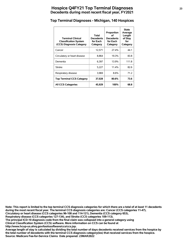# **Hospice Q4FY21 Top Terminal Diagnoses <sup>23</sup> Decedents during most recent fiscal year, FY2021**

#### **Top Terminal Diagnoses - Michigan, 140 Hospices**

| <b>Terminal Clinical</b><br><b>Classification System</b><br>(CCS) Diagnosis Category | Total<br><b>Decedents</b><br>for Each<br>Category | Proportion<br>οf<br><b>Decedents</b><br>for Each<br>Category | <b>State</b><br>Average<br>Length<br>of Stay<br>for<br>Category |
|--------------------------------------------------------------------------------------|---------------------------------------------------|--------------------------------------------------------------|-----------------------------------------------------------------|
| Cancer                                                                               | 12,571                                            | 27.4%                                                        | 44.1                                                            |
| Circulatory or heart disease                                                         | 8.864                                             | 19.3%                                                        | 83.8                                                            |
| Dementia                                                                             | 6.397                                             | 13.9%                                                        | 111.8                                                           |
| <b>Stroke</b>                                                                        | 5.227                                             | 11.4%                                                        | 82.6                                                            |
| Respiratory disease                                                                  | 3,969                                             | 8.6%                                                         | 71.2                                                            |
| <b>Top Terminal CCS Category</b>                                                     | 37,028                                            | 80.6%                                                        | 73.6                                                            |
| <b>All CCS Categories</b>                                                            | 45,929                                            | 100%                                                         | 68.8                                                            |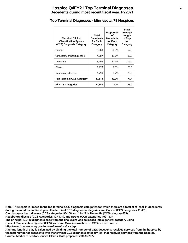# **Hospice Q4FY21 Top Terminal Diagnoses <sup>24</sup> Decedents during most recent fiscal year, FY2021**

#### **Top Terminal Diagnoses - Minnesota, 78 Hospices**

| <b>Terminal Clinical</b><br><b>Classification System</b><br>(CCS) Diagnosis Category | Total<br><b>Decedents</b><br>for Each<br>Category | Proportion<br>∩f<br><b>Decedents</b><br>for Each<br>Category | <b>State</b><br>Average<br>Length<br>of Stay<br>for<br>Category |
|--------------------------------------------------------------------------------------|---------------------------------------------------|--------------------------------------------------------------|-----------------------------------------------------------------|
| Cancer                                                                               | 5,669                                             | 26.0%                                                        | 52.3                                                            |
| Circulatory or heart disease                                                         | 4,287                                             | 19.6%                                                        | 80.9                                                            |
| Dementia                                                                             | 3,799                                             | 17.4%                                                        | 109.2                                                           |
| <b>Stroke</b>                                                                        | 1,973                                             | $9.0\%$                                                      | 78.5                                                            |
| Respiratory disease                                                                  | 1,790                                             | 8.2%                                                         | 79.6                                                            |
| <b>Top Terminal CCS Category</b>                                                     | 17,518                                            | 80.2%                                                        | 77.4                                                            |
| <b>All CCS Categories</b>                                                            | 21,840                                            | 100%                                                         | 73.0                                                            |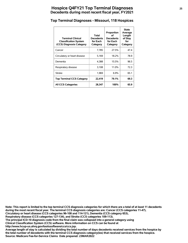# **Hospice Q4FY21 Top Terminal Diagnoses <sup>25</sup> Decedents during most recent fiscal year, FY2021**

#### **Top Terminal Diagnoses - Missouri, 118 Hospices**

| <b>Terminal Clinical</b><br><b>Classification System</b><br>(CCS) Diagnosis Category | Total<br><b>Decedents</b><br>for Each<br>Category | Proportion<br>οf<br><b>Decedents</b><br>for Each<br>Category | <b>State</b><br>Average<br>Length<br>of Stay<br>for<br>Category |
|--------------------------------------------------------------------------------------|---------------------------------------------------|--------------------------------------------------------------|-----------------------------------------------------------------|
| Cancer                                                                               | 7,785                                             | 27.5%                                                        | 47.4                                                            |
| Circulatory or heart disease                                                         | 5.169                                             | 18.2%                                                        | 78.9                                                            |
| Dementia                                                                             | 4,388                                             | 15.5%                                                        | 96.5                                                            |
| Respiratory disease                                                                  | 3,108                                             | 11.0%                                                        | 72.3                                                            |
| <b>Stroke</b>                                                                        | 1,969                                             | 6.9%                                                         | 65.1                                                            |
| <b>Top Terminal CCS Category</b>                                                     | 22,419                                            | 79.1%                                                        | 69.3                                                            |
| <b>All CCS Categories</b>                                                            | 28,347                                            | 100%                                                         | 65.9                                                            |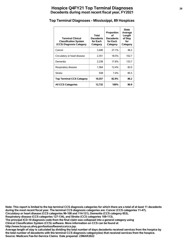# **Hospice Q4FY21 Top Terminal Diagnoses <sup>26</sup> Decedents during most recent fiscal year, FY2021**

#### **Top Terminal Diagnoses - Mississippi, 89 Hospices**

| <b>Terminal Clinical</b><br><b>Classification System</b><br>(CCS) Diagnosis Category | Total<br><b>Decedents</b><br>for Each<br>Category | Proportion<br>οf<br><b>Decedents</b><br>for Each<br>Category | <b>State</b><br>Average<br>Length<br>of Stay<br>for<br>Category |
|--------------------------------------------------------------------------------------|---------------------------------------------------|--------------------------------------------------------------|-----------------------------------------------------------------|
| Cancer                                                                               | 3,446                                             | 27.1%                                                        | 46.2                                                            |
| Circulatory or heart disease                                                         | 2,351                                             | 18.5%                                                        | 102.7                                                           |
| Dementia                                                                             | 2,238                                             | 17.6%                                                        | 133.7                                                           |
| Respiratory disease                                                                  | 1,584                                             | 12.4%                                                        | 82.0                                                            |
| <b>Stroke</b>                                                                        | 938                                               | $7.4\%$                                                      | 85.5                                                            |
| <b>Top Terminal CCS Category</b>                                                     | 10,557                                            | 82.9%                                                        | 86.2                                                            |
| <b>All CCS Categories</b>                                                            | 12,732                                            | 100%                                                         | 80.9                                                            |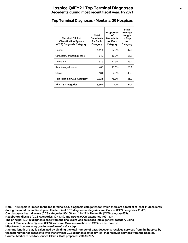# **Hospice Q4FY21 Top Terminal Diagnoses <sup>27</sup> Decedents during most recent fiscal year, FY2021**

#### **Top Terminal Diagnoses - Montana, 30 Hospices**

| <b>Terminal Clinical</b><br><b>Classification System</b><br>(CCS) Diagnosis Category | Total<br><b>Decedents</b><br>for Each<br>Category | Proportion<br>οf<br><b>Decedents</b><br>for Each<br>Category | <b>State</b><br>Average<br>Length<br>of Stay<br>for<br>Category |
|--------------------------------------------------------------------------------------|---------------------------------------------------|--------------------------------------------------------------|-----------------------------------------------------------------|
| Cancer                                                                               | 1,113                                             | 27.8%                                                        | 47.6                                                            |
| Circulatory or heart disease                                                         | 649                                               | 16.2%                                                        | 61.5                                                            |
| Dementia                                                                             | 516                                               | 12.9%                                                        | 76.2                                                            |
| Respiratory disease                                                                  | 465                                               | 11.6%                                                        | 65.1                                                            |
| <b>Stroke</b>                                                                        | 181                                               | 4.5%                                                         | 43.3                                                            |
| <b>Top Terminal CCS Category</b>                                                     | 2,924                                             | 73.2%                                                        | 58.2                                                            |
| <b>All CCS Categories</b>                                                            | 3,997                                             | 100%                                                         | 54.7                                                            |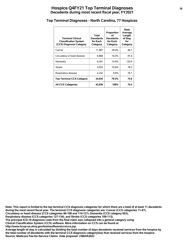# **Hospice Q4FY21 Top Terminal Diagnoses <sup>28</sup> Decedents during most recent fiscal year, FY2021**

#### **Top Terminal Diagnoses - North Carolina, 77 Hospices**

| <b>Terminal Clinical</b><br><b>Classification System</b><br>(CCS) Diagnosis Category | Total<br><b>Decedents</b><br>for Each<br>Category | Proportion<br>οf<br><b>Decedents</b><br>for Each<br>Category | <b>State</b><br>Average<br>Length<br>of Stay<br>for<br>Category |
|--------------------------------------------------------------------------------------|---------------------------------------------------|--------------------------------------------------------------|-----------------------------------------------------------------|
| Cancer                                                                               | 11,981                                            | 28.0%                                                        | 46.7                                                            |
| Circulatory or heart disease                                                         | 6,866                                             | 16.0%                                                        | 81.6                                                            |
| Dementia                                                                             | 6.391                                             | 14.9%                                                        | 120.9                                                           |
| <b>Stroke</b>                                                                        | 4,555                                             | 10.6%                                                        | 78.3                                                            |
| Respiratory disease                                                                  | 4,242                                             | $9.9\%$                                                      | 76.1                                                            |
| <b>Top Terminal CCS Category</b>                                                     | 34,035                                            | 79.5%                                                        | 75.6                                                            |
| <b>All CCS Categories</b>                                                            | 42,830                                            | 100%                                                         | 70.4                                                            |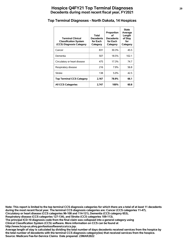# **Hospice Q4FY21 Top Terminal Diagnoses <sup>29</sup> Decedents during most recent fiscal year, FY2021**

#### **Top Terminal Diagnoses - North Dakota, 14 Hospices**

| <b>Terminal Clinical</b><br><b>Classification System</b><br>(CCS) Diagnosis Category | Total<br><b>Decedents</b><br>for Each<br>Category | Proportion<br>οf<br><b>Decedents</b><br>for Each<br>Category | <b>State</b><br>Average<br>Length<br>of Stay<br>for<br>Category |
|--------------------------------------------------------------------------------------|---------------------------------------------------|--------------------------------------------------------------|-----------------------------------------------------------------|
| Cancer                                                                               | 831                                               | 30.3%                                                        | 45.5                                                            |
| Dementia                                                                             | 507                                               | 18.5%                                                        | 102.1                                                           |
| Circulatory or heart disease                                                         | 475                                               | 17.3%                                                        | 74.7                                                            |
| Respiratory disease                                                                  | 216                                               | 7.9%                                                         | 56.8                                                            |
| Stroke                                                                               | 138                                               | 5.0%                                                         | 42.5                                                            |
| <b>Top Terminal CCS Category</b>                                                     | 2,167                                             | 78.9%                                                        | 66.1                                                            |
| <b>All CCS Categories</b>                                                            | 2,747                                             | 100%                                                         | 60.8                                                            |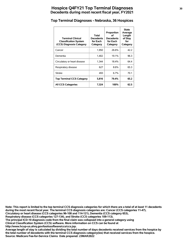# **Hospice Q4FY21 Top Terminal Diagnoses <sup>30</sup> Decedents during most recent fiscal year, FY2021**

#### **Top Terminal Diagnoses - Nebraska, 36 Hospices**

| <b>Terminal Clinical</b><br><b>Classification System</b><br>(CCS) Diagnosis Category | Total<br><b>Decedents</b><br>for Each<br>Category | Proportion<br>οf<br>Decedents<br>for Each<br>Category | <b>State</b><br>Average<br>Length<br>of Stay<br>for<br>Category |
|--------------------------------------------------------------------------------------|---------------------------------------------------|-------------------------------------------------------|-----------------------------------------------------------------|
| Cancer                                                                               | 1,950                                             | 26.6%                                                 | 42.2                                                            |
| Dementia                                                                             | 1.402                                             | 19.1%                                                 | 96.3                                                            |
| Circulatory or heart disease                                                         | 1,344                                             | 18.4%                                                 | 64.4                                                            |
| Respiratory disease                                                                  | 627                                               | 8.6%                                                  | 65.3                                                            |
| <b>Stroke</b>                                                                        | 493                                               | 6.7%                                                  | 70.1                                                            |
| <b>Top Terminal CCS Category</b>                                                     | 5,816                                             | 79.4%                                                 | 65.2                                                            |
| <b>All CCS Categories</b>                                                            | 7,324                                             | 100%                                                  | 62.5                                                            |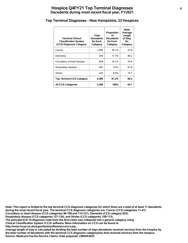# **Hospice Q4FY21 Top Terminal Diagnoses <sup>31</sup> Decedents during most recent fiscal year, FY2021**

#### **Top Terminal Diagnoses - New Hampshire, 23 Hospices**

| <b>Terminal Clinical</b><br><b>Classification System</b><br>(CCS) Diagnosis Category | Total<br><b>Decedents</b><br>for Each<br>Category | Proportion<br>οf<br><b>Decedents</b><br>for Each<br>Category | <b>State</b><br>Average<br>Length<br>of Stay<br>for<br>Category |
|--------------------------------------------------------------------------------------|---------------------------------------------------|--------------------------------------------------------------|-----------------------------------------------------------------|
| Cancer                                                                               | 1,599                                             | 30.1%                                                        | 47.8                                                            |
| Dementia                                                                             | 939                                               | 17.7%                                                        | 89.2                                                            |
| Circulatory or heart disease                                                         | 854                                               | 16.1%                                                        | 70.9                                                            |
| Respiratory disease                                                                  | 491                                               | $9.3\%$                                                      | 67.8                                                            |
| <b>Stroke</b>                                                                        | 425                                               | $8.0\%$                                                      | 74.7                                                            |
| <b>Top Terminal CCS Category</b>                                                     | 4,308                                             | 81.2%                                                        | 66.4                                                            |
| <b>All CCS Categories</b>                                                            | 5,308                                             | 100%                                                         | 64.1                                                            |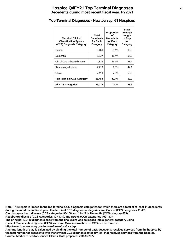# **Hospice Q4FY21 Top Terminal Diagnoses <sup>32</sup> Decedents during most recent fiscal year, FY2021**

#### **Top Terminal Diagnoses - New Jersey, 61 Hospices**

| <b>Terminal Clinical</b><br><b>Classification System</b><br>(CCS) Diagnosis Category | Total<br><b>Decedents</b><br>for Each<br>Category | Proportion<br>οf<br><b>Decedents</b><br>for Each<br>Category | <b>State</b><br>Average<br>Length<br>of Stay<br>for<br>Category |
|--------------------------------------------------------------------------------------|---------------------------------------------------|--------------------------------------------------------------|-----------------------------------------------------------------|
| Cancer                                                                               | 8,460                                             | 29.1%                                                        | 38.5                                                            |
| Dementia                                                                             | 5,337                                             | 18.4%                                                        | 101.7                                                           |
| Circulatory or heart disease                                                         | 4.829                                             | 16.6%                                                        | 58.7                                                            |
| Respiratory disease                                                                  | 2,713                                             | $9.3\%$                                                      | 44.1                                                            |
| <b>Stroke</b>                                                                        | 2,119                                             | 7.3%                                                         | 55.6                                                            |
| <b>Top Terminal CCS Category</b>                                                     | 23,458                                            | 80.7%                                                        | 59.2                                                            |
| <b>All CCS Categories</b>                                                            | 29,076                                            | 100%                                                         | 55.6                                                            |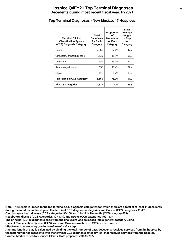# **Hospice Q4FY21 Top Terminal Diagnoses <sup>33</sup> Decedents during most recent fiscal year, FY2021**

#### **Top Terminal Diagnoses - New Mexico, 47 Hospices**

| <b>Terminal Clinical</b><br><b>Classification System</b><br>(CCS) Diagnosis Category | Total<br><b>Decedents</b><br>for Each<br>Category | Proportion<br>Ωf<br><b>Decedents</b><br>for Each<br>Category | <b>State</b><br>Average<br>Length<br>of Stay<br>for<br>Category |
|--------------------------------------------------------------------------------------|---------------------------------------------------|--------------------------------------------------------------|-----------------------------------------------------------------|
| Cancer                                                                               | 2.066                                             | 27.4%                                                        | 47.7                                                            |
| Circulatory or heart disease                                                         | 1.136                                             | 15.1%                                                        | 108.9                                                           |
| Dementia                                                                             | 989                                               | 13.1%                                                        | 147.2                                                           |
| Respiratory disease                                                                  | 856                                               | 11.4%                                                        | 107.4                                                           |
| <b>Stroke</b>                                                                        | 618                                               | 8.2%                                                         | 90.2                                                            |
| <b>Top Terminal CCS Category</b>                                                     | 5,665                                             | 75.2%                                                        | 91.0                                                            |
| <b>All CCS Categories</b>                                                            | 7,530                                             | 100%                                                         | 86.3                                                            |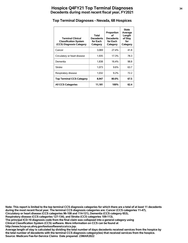#### **Top Terminal Diagnoses - Nevada, 68 Hospices**

| <b>Terminal Clinical</b><br><b>Classification System</b><br>(CCS) Diagnosis Category | Total<br><b>Decedents</b><br>for Each<br>Category | Proportion<br>οf<br>Decedents<br>for Each<br>Category | <b>State</b><br>Average<br>Length<br>of Stay<br>for<br>Category |
|--------------------------------------------------------------------------------------|---------------------------------------------------|-------------------------------------------------------|-----------------------------------------------------------------|
| Cancer                                                                               | 3,069                                             | 27.4%                                                 | 41.8                                                            |
| Circulatory or heart disease                                                         | 1,935                                             | 17.3%                                                 | 78.3                                                            |
| Dementia                                                                             | 1,838                                             | 16.4%                                                 | 98.8                                                            |
| <b>Stroke</b>                                                                        | 1,073                                             | 9.6%                                                  | 63.7                                                            |
| Respiratory disease                                                                  | 1,032                                             | 9.2%                                                  | 72.2                                                            |
| <b>Top Terminal CCS Category</b>                                                     | 8,947                                             | 80.0%                                                 | 67.5                                                            |
| <b>All CCS Categories</b>                                                            | 11,181                                            | 100%                                                  | 62.4                                                            |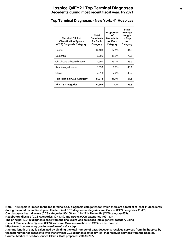# **Hospice Q4FY21 Top Terminal Diagnoses <sup>35</sup> Decedents during most recent fiscal year, FY2021**

# **Top Terminal Diagnoses - New York, 41 Hospices**

| <b>Terminal Clinical</b><br><b>Classification System</b><br>(CCS) Diagnosis Category | Total<br><b>Decedents</b><br>for Each<br>Category | Proportion<br>Ωf<br><b>Decedents</b><br>for Each<br>Category | <b>State</b><br>Average<br>Length<br>of Stay<br>for<br>Category |
|--------------------------------------------------------------------------------------|---------------------------------------------------|--------------------------------------------------------------|-----------------------------------------------------------------|
| Cancer                                                                               | 14,103                                            | 37.1%                                                        | 41.0                                                            |
| Dementia                                                                             | 6.006                                             | 15.8%                                                        | 77.6                                                            |
| Circulatory or heart disease                                                         | 4,997                                             | 13.2%                                                        | 55.6                                                            |
| Respiratory disease                                                                  | 3,093                                             | 8.1%                                                         | 48.1                                                            |
| <b>Stroke</b>                                                                        | 2,813                                             | $7.4\%$                                                      | 48.2                                                            |
| <b>Top Terminal CCS Category</b>                                                     | 31,012                                            | 81.7%                                                        | 51.8                                                            |
| <b>All CCS Categories</b>                                                            | 37,965                                            | 100%                                                         | 49.5                                                            |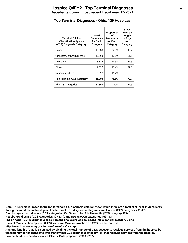#### **Top Terminal Diagnoses - Ohio, 139 Hospices**

| <b>Terminal Clinical</b><br><b>Classification System</b><br>(CCS) Diagnosis Category | Total<br><b>Decedents</b><br>for Each<br>Category | Proportion<br>οf<br><b>Decedents</b><br>for Each<br>Category | <b>State</b><br>Average<br>Length<br>of Stay<br>for<br>Category |
|--------------------------------------------------------------------------------------|---------------------------------------------------|--------------------------------------------------------------|-----------------------------------------------------------------|
| Cancer                                                                               | 15,083                                            | 24.5%                                                        | 45.7                                                            |
| Circulatory or heart disease                                                         | 10,353                                            | 16.8%                                                        | 81.6                                                            |
| Dementia                                                                             | 8,822                                             | 14.3%                                                        | 131.5                                                           |
| <b>Stroke</b>                                                                        | 7,038                                             | 11.4%                                                        | 97.5                                                            |
| Respiratory disease                                                                  | 6,912                                             | 11.2%                                                        | 66.6                                                            |
| <b>Top Terminal CCS Category</b>                                                     | 48,208                                            | 78.3%                                                        | 79.7                                                            |
| <b>All CCS Categories</b>                                                            | 61,567                                            | 100%                                                         | 72.9                                                            |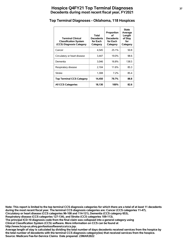# **Hospice Q4FY21 Top Terminal Diagnoses <sup>37</sup> Decedents during most recent fiscal year, FY2021**

# **Top Terminal Diagnoses - Oklahoma, 118 Hospices**

| <b>Terminal Clinical</b><br><b>Classification System</b><br>(CCS) Diagnosis Category | Total<br><b>Decedents</b><br>for Each<br>Category | Proportion<br>οf<br><b>Decedents</b><br>for Each<br>Category | <b>State</b><br>Average<br>Length<br>of Stay<br>for<br>Category |
|--------------------------------------------------------------------------------------|---------------------------------------------------|--------------------------------------------------------------|-----------------------------------------------------------------|
| Cancer                                                                               | 4.545                                             | 25.1%                                                        | 50.8                                                            |
| Circulatory or heart disease                                                         | 3,447                                             | 19.0%                                                        | 98.6                                                            |
| Dementia                                                                             | 3.046                                             | 16.8%                                                        | 138.5                                                           |
| Respiratory disease                                                                  | 2.104                                             | 11.6%                                                        | 85.3                                                            |
| <b>Stroke</b>                                                                        | 1,308                                             | 7.2%                                                         | 85.4                                                            |
| <b>Top Terminal CCS Category</b>                                                     | 14,450                                            | 79.7%                                                        | 88.8                                                            |
| <b>All CCS Categories</b>                                                            | 18,130                                            | 100%                                                         | 82.6                                                            |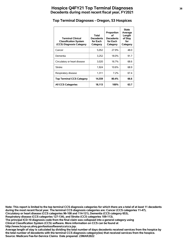#### **Top Terminal Diagnoses - Oregon, 53 Hospices**

| <b>Terminal Clinical</b><br><b>Classification System</b><br>(CCS) Diagnosis Category | Total<br><b>Decedents</b><br>for Each<br>Category | Proportion<br>οf<br><b>Decedents</b><br>for Each<br>Category | State<br>Average<br>Length<br>of Stay<br>for<br>Category |
|--------------------------------------------------------------------------------------|---------------------------------------------------|--------------------------------------------------------------|----------------------------------------------------------|
| Cancer                                                                               | 5,052                                             | 27.9%                                                        | 48.0                                                     |
| Dementia                                                                             | 3,252                                             | 18.0%                                                        | 91.7                                                     |
| Circulatory or heart disease                                                         | 3,020                                             | 16.7%                                                        | 68.6                                                     |
| <b>Stroke</b>                                                                        | 1,924                                             | 10.6%                                                        | 68.9                                                     |
| Respiratory disease                                                                  | 1,311                                             | 7.2%                                                         | 67.4                                                     |
| <b>Top Terminal CCS Category</b>                                                     | 14,559                                            | 80.4%                                                        | 66.6                                                     |
| <b>All CCS Categories</b>                                                            | 18,113                                            | 100%                                                         | 63.7                                                     |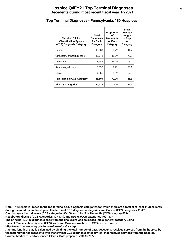# **Hospice Q4FY21 Top Terminal Diagnoses <sup>39</sup> Decedents during most recent fiscal year, FY2021**

#### **Top Terminal Diagnoses - Pennsylvania, 180 Hospices**

| <b>Terminal Clinical</b><br><b>Classification System</b><br>(CCS) Diagnosis Category | Total<br>Decedents<br>for Each<br>Category | Proportion<br>οf<br><b>Decedents</b><br>for Each<br>Category | State<br>Average<br>Length<br>of Stay<br>for<br>Category |
|--------------------------------------------------------------------------------------|--------------------------------------------|--------------------------------------------------------------|----------------------------------------------------------|
| Cancer                                                                               | 16,088                                     | 28.2%                                                        | 44.7                                                     |
| Circulatory or heart disease                                                         | 10,712                                     | 18.8%                                                        | 70.5                                                     |
| Dementia                                                                             | 8.686                                      | 15.2%                                                        | 105.2                                                    |
| Respiratory disease                                                                  | 5,557                                      | $9.7\%$                                                      | 55.1                                                     |
| <b>Stroke</b>                                                                        | 4,566                                      | 8.0%                                                         | 62.0                                                     |
| <b>Top Terminal CCS Category</b>                                                     | 45,609                                     | 79.9%                                                        | 65.3                                                     |
| <b>All CCS Categories</b>                                                            | 57,113                                     | 100%                                                         | 61.7                                                     |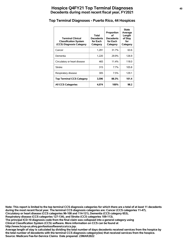# **Hospice Q4FY21 Top Terminal Diagnoses <sup>40</sup> Decedents during most recent fiscal year, FY2021**

#### **Top Terminal Diagnoses - Puerto Rico, 44 Hospices**

| <b>Terminal Clinical</b><br><b>Classification System</b><br>(CCS) Diagnosis Category | Total<br><b>Decedents</b><br>for Each<br>Category | Proportion<br>οf<br><b>Decedents</b><br>for Each<br>Category | <b>State</b><br>Average<br>Length<br>of Stay<br>for<br>Category |
|--------------------------------------------------------------------------------------|---------------------------------------------------|--------------------------------------------------------------|-----------------------------------------------------------------|
| Cancer                                                                               | 1,291                                             | 31.7%                                                        | 63.6                                                            |
| Dementia                                                                             | 1,220                                             | 29.9%                                                        | 126.9                                                           |
| Circulatory or heart disease                                                         | 465                                               | 11.4%                                                        | 118.0                                                           |
| <b>Stroke</b>                                                                        | 315                                               | 7.7%                                                         | 105.8                                                           |
| Respiratory disease                                                                  | 305                                               | 7.5%                                                         | 129.1                                                           |
| <b>Top Terminal CCS Category</b>                                                     | 3,596                                             | 88.3%                                                        | 101.4                                                           |
| <b>All CCS Categories</b>                                                            | 4,074                                             | 100%                                                         | 98.2                                                            |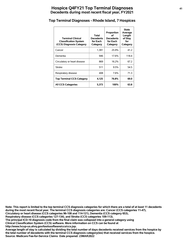# **Hospice Q4FY21 Top Terminal Diagnoses <sup>41</sup> Decedents during most recent fiscal year, FY2021**

#### **Top Terminal Diagnoses - Rhode Island, 7 Hospices**

| <b>Terminal Clinical</b><br><b>Classification System</b><br>(CCS) Diagnosis Category | Total<br><b>Decedents</b><br>for Each<br>Category | Proportion<br>Ωf<br><b>Decedents</b><br>for Each<br>Category | <b>State</b><br>Average<br>Length<br>of Stay<br>for<br>Category |
|--------------------------------------------------------------------------------------|---------------------------------------------------|--------------------------------------------------------------|-----------------------------------------------------------------|
| Cancer                                                                               | 1.391                                             | 25.9%                                                        | 41.2                                                            |
| Dementia                                                                             | 946                                               | 17.6%                                                        | 118.4                                                           |
| Circulatory or heart disease                                                         | 869                                               | 16.2%                                                        | 67.2                                                            |
| <b>Stroke</b>                                                                        | 511                                               | 9.5%                                                         | 54.5                                                            |
| Respiratory disease                                                                  | 408                                               | 7.6%                                                         | 71.3                                                            |
| <b>Top Terminal CCS Category</b>                                                     | 4,125                                             | 76.8%                                                        | 69.0                                                            |
| <b>All CCS Categories</b>                                                            | 5,373                                             | 100%                                                         | 63.8                                                            |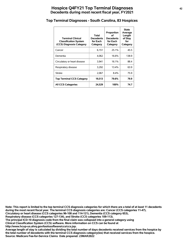# **Hospice Q4FY21 Top Terminal Diagnoses <sup>42</sup> Decedents during most recent fiscal year, FY2021**

#### **Top Terminal Diagnoses - South Carolina, 83 Hospices**

| <b>Terminal Clinical</b><br><b>Classification System</b><br>(CCS) Diagnosis Category | Total<br><b>Decedents</b><br>for Each<br>Category | Proportion<br>оf<br><b>Decedents</b><br>for Each<br>Category | <b>State</b><br>Average<br>Length<br>of Stay<br>for<br>Category |
|--------------------------------------------------------------------------------------|---------------------------------------------------|--------------------------------------------------------------|-----------------------------------------------------------------|
| Cancer                                                                               | 6,151                                             | 25.1%                                                        | 45.5                                                            |
| Dementia                                                                             | 4.062                                             | 16.6%                                                        | 138.9                                                           |
| Circulatory or heart disease                                                         | 3,941                                             | 16.1%                                                        | 88.4                                                            |
| Respiratory disease                                                                  | 3,292                                             | 13.4%                                                        | 63.9                                                            |
| <b>Stroke</b>                                                                        | 2,067                                             | 8.4%                                                         | 75.9                                                            |
| <b>Top Terminal CCS Category</b>                                                     | 19,513                                            | 79.6%                                                        | 79.9                                                            |
| <b>All CCS Categories</b>                                                            | 24,529                                            | 100%                                                         | 74.7                                                            |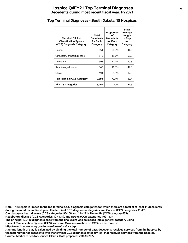# **Hospice Q4FY21 Top Terminal Diagnoses <sup>43</sup> Decedents during most recent fiscal year, FY2021**

#### **Top Terminal Diagnoses - South Dakota, 15 Hospices**

| <b>Terminal Clinical</b><br><b>Classification System</b><br>(CCS) Diagnosis Category | Total<br><b>Decedents</b><br>for Each<br>Category | Proportion<br>οf<br><b>Decedents</b><br>for Each<br>Category | <b>State</b><br>Average<br>Length<br>of Stay<br>for<br>Category |
|--------------------------------------------------------------------------------------|---------------------------------------------------|--------------------------------------------------------------|-----------------------------------------------------------------|
| Cancer                                                                               | 951                                               | 28.8%                                                        | 44.0                                                            |
| Circulatory or heart disease                                                         | 515                                               | 15.6%                                                        | 53.7                                                            |
| Dementia                                                                             | 398                                               | 12.1%                                                        | 70.8                                                            |
| Respiratory disease                                                                  | 340                                               | 10.3%                                                        | 49.3                                                            |
| <b>Stroke</b>                                                                        | 194                                               | 5.9%                                                         | 32.5                                                            |
| <b>Top Terminal CCS Category</b>                                                     | 2,398                                             | 72.7%                                                        | 50.4                                                            |
| <b>All CCS Categories</b>                                                            | 3,297                                             | 100%                                                         | 47.9                                                            |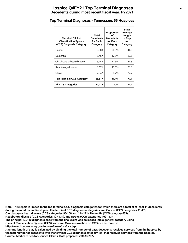# **Hospice Q4FY21 Top Terminal Diagnoses <sup>44</sup> Decedents during most recent fiscal year, FY2021**

#### **Top Terminal Diagnoses - Tennessee, 55 Hospices**

| <b>Terminal Clinical</b><br><b>Classification System</b><br>(CCS) Diagnosis Category | Total<br><b>Decedents</b><br>for Each<br>Category | Proportion<br>∩f<br><b>Decedents</b><br>for Each<br>Category | <b>State</b><br>Average<br>Length<br>of Stay<br>for<br>Category |
|--------------------------------------------------------------------------------------|---------------------------------------------------|--------------------------------------------------------------|-----------------------------------------------------------------|
| Cancer                                                                               | 8,383                                             | 26.9%                                                        | 44.0                                                            |
| Dementia                                                                             | 5,467                                             | 17.5%                                                        | 122.6                                                           |
| Circulatory or heart disease                                                         | 5,449                                             | 17.5%                                                        | 87.3                                                            |
| Respiratory disease                                                                  | 3,671                                             | 11.8%                                                        | 73.0                                                            |
| <b>Stroke</b>                                                                        | 2,547                                             | 8.2%                                                         | 72.7                                                            |
| <b>Top Terminal CCS Category</b>                                                     | 25,517                                            | 81.7%                                                        | 77.1                                                            |
| <b>All CCS Categories</b>                                                            | 31,219                                            | 100%                                                         | 71.7                                                            |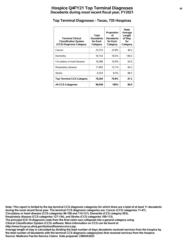#### **Top Terminal Diagnoses - Texas, 735 Hospices**

| <b>Terminal Clinical</b><br><b>Classification System</b><br>(CCS) Diagnosis Category | Total<br><b>Decedents</b><br>for Each<br>Category | Proportion<br>οf<br><b>Decedents</b><br>for Each<br>Category | <b>State</b><br>Average<br>Length<br>of Stay<br>for<br>Category |
|--------------------------------------------------------------------------------------|---------------------------------------------------|--------------------------------------------------------------|-----------------------------------------------------------------|
| Cancer                                                                               | 23,315                                            | 23.8%                                                        | 48.2                                                            |
| Dementia                                                                             | 18,153                                            | 18.5%                                                        | 146.5                                                           |
| Circulatory or heart disease                                                         | 16,588                                            | 16.9%                                                        | 92.6                                                            |
| Respiratory disease                                                                  | 11,855                                            | 12.1%                                                        | 64.3                                                            |
| <b>Stroke</b>                                                                        | 8,353                                             | 8.5%                                                         | 88.5                                                            |
| <b>Top Terminal CCS Category</b>                                                     | 78,264                                            | 79.8%                                                        | 87.2                                                            |
| <b>All CCS Categories</b>                                                            | 98,049                                            | 100%                                                         | 80.0                                                            |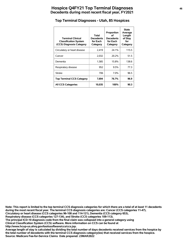#### **Top Terminal Diagnoses - Utah, 85 Hospices**

| <b>Terminal Clinical</b><br><b>Classification System</b><br>(CCS) Diagnosis Category | Total<br><b>Decedents</b><br>for Each<br>Category | Proportion<br>οf<br><b>Decedents</b><br>for Each<br>Category | <b>State</b><br>Average<br>Length<br>of Stay<br>for<br>Category |
|--------------------------------------------------------------------------------------|---------------------------------------------------|--------------------------------------------------------------|-----------------------------------------------------------------|
| Circulatory or heart disease                                                         | 2,419                                             | 24.1%                                                        | 115.5                                                           |
| Cancer                                                                               | 2,032                                             | 20.2%                                                        | 51.5                                                            |
| Dementia                                                                             | 1,585                                             | 15.8%                                                        | 138.6                                                           |
| Respiratory disease                                                                  | 952                                               | 9.5%                                                         | 77.3                                                            |
| <b>Stroke</b>                                                                        | 706                                               | 7.0%                                                         | 96.5                                                            |
| <b>Top Terminal CCS Category</b>                                                     | 7,694                                             | 76.7%                                                        | 96.9                                                            |
| <b>All CCS Categories</b>                                                            | 10,035                                            | 100%                                                         | 90.3                                                            |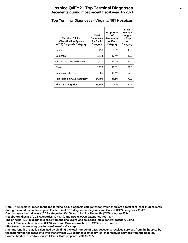# **Hospice Q4FY21 Top Terminal Diagnoses <sup>47</sup> Decedents during most recent fiscal year, FY2021**

# **Top Terminal Diagnoses - Virginia, 101 Hospices**

| <b>Terminal Clinical</b><br><b>Classification System</b><br>(CCS) Diagnosis Category | Total<br><b>Decedents</b><br>for Each<br>Category | Proportion<br>οf<br><b>Decedents</b><br>for Each<br>Category | <b>State</b><br>Average<br>Length<br>of Stay<br>for<br>Category |
|--------------------------------------------------------------------------------------|---------------------------------------------------|--------------------------------------------------------------|-----------------------------------------------------------------|
| Cancer                                                                               | 8,458                                             | 28.5%                                                        | 46.9                                                            |
| Dementia                                                                             | 5.174                                             | 17.4%                                                        | 116.2                                                           |
| Circulatory or heart disease                                                         | 4,431                                             | 14.9%                                                        | 76.4                                                            |
| <b>Stroke</b>                                                                        | 3,123                                             | 10.5%                                                        | 81.6                                                            |
| Respiratory disease                                                                  | 3,005                                             | 10.1%                                                        | 57.6                                                            |
| <b>Top Terminal CCS Category</b>                                                     | 24,191                                            | 81.6%                                                        | 72.9                                                            |
| <b>All CCS Categories</b>                                                            | 29,653                                            | 100%                                                         | 70.1                                                            |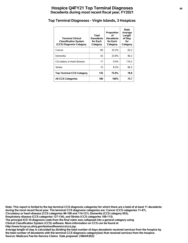# **Hospice Q4FY21 Top Terminal Diagnoses <sup>48</sup> Decedents during most recent fiscal year, FY2021**

# **Top Terminal Diagnoses - Virgin Islands, 3 Hospices**

| <b>Terminal Clinical</b><br><b>Classification System</b><br>(CCS) Diagnosis Category | Total<br><b>Decedents</b><br>for Each<br>Category | Proportion<br>οf<br><b>Decedents</b><br>for Each<br>Category | <b>State</b><br>Average<br>Length<br>of Stay<br>for<br>Category |
|--------------------------------------------------------------------------------------|---------------------------------------------------|--------------------------------------------------------------|-----------------------------------------------------------------|
| Cancer                                                                               | 60                                                | 33.3%                                                        | 63.2                                                            |
| Dementia                                                                             | 43                                                | 23.9%                                                        | 90.2                                                            |
| Circulatory or heart disease                                                         | 17                                                | $9.4\%$                                                      | 116.2                                                           |
| Stroke                                                                               | 15                                                | 8.3%                                                         | 66.3                                                            |
| <b>Top Terminal CCS Category</b>                                                     | 135                                               | 75.0%                                                        | 78.8                                                            |
| <b>All CCS Categories</b>                                                            | 180                                               | 100%                                                         | 75.7                                                            |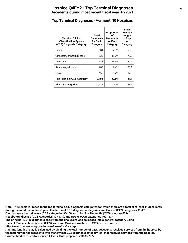# **Hospice Q4FY21 Top Terminal Diagnoses <sup>49</sup> Decedents during most recent fiscal year, FY2021**

#### **Top Terminal Diagnoses - Vermont, 10 Hospices**

| <b>Terminal Clinical</b><br><b>Classification System</b><br>(CCS) Diagnosis Category | Total<br><b>Decedents</b><br>for Each<br>Category | Proportion<br>οf<br><b>Decedents</b><br>for Each<br>Category | <b>State</b><br>Average<br>Length<br>of Stay<br>for<br>Category |
|--------------------------------------------------------------------------------------|---------------------------------------------------|--------------------------------------------------------------|-----------------------------------------------------------------|
| Cancer                                                                               | 884                                               | 32.5%                                                        | 50.8                                                            |
| Circulatory or heart disease                                                         | 532                                               | 19.6%                                                        | 79.9                                                            |
| Dementia                                                                             | 421                                               | 15.5%                                                        | 130.7                                                           |
| Respiratory disease                                                                  | 202                                               | $7.4\%$                                                      | 100.1                                                           |
| <b>Stroke</b>                                                                        | 155                                               | 5.7%                                                         | 97.9                                                            |
| <b>Top Terminal CCS Category</b>                                                     | 2,194                                             | 80.8%                                                        | 81.1                                                            |
| <b>All CCS Categories</b>                                                            | 2,717                                             | 100%                                                         | 76.7                                                            |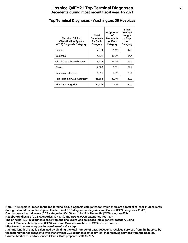# **Hospice Q4FY21 Top Terminal Diagnoses 50 Decedents during most recent fiscal year, FY2021**

#### **Top Terminal Diagnoses - Washington, 36 Hospices**

| <b>Terminal Clinical</b><br><b>Classification System</b><br>(CCS) Diagnosis Category | Total<br><b>Decedents</b><br>for Each<br>Category | Proportion<br>οf<br><b>Decedents</b><br>for Each<br>Category | <b>State</b><br>Average<br>Length<br>of Stay<br>for<br>Category |
|--------------------------------------------------------------------------------------|---------------------------------------------------|--------------------------------------------------------------|-----------------------------------------------------------------|
| Cancer                                                                               | 7.074                                             | 31.1%                                                        | 47.6                                                            |
| Dementia                                                                             | 4.131                                             | 18.2%                                                        | 84.4                                                            |
| Circulatory or heart disease                                                         | 3,635                                             | 16.0%                                                        | 66.9                                                            |
| <b>Stroke</b>                                                                        | 2.003                                             | 8.8%                                                         | 59.9                                                            |
| Respiratory disease                                                                  | 1,511                                             | 6.6%                                                         | 70.1                                                            |
| <b>Top Terminal CCS Category</b>                                                     | 18,354                                            | 80.7%                                                        | 62.9                                                            |
| <b>All CCS Categories</b>                                                            | 22,738                                            | 100%                                                         | 60.0                                                            |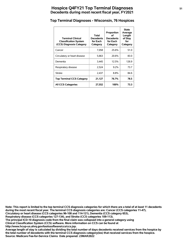# **Hospice Q4FY21 Top Terminal Diagnoses <sup>51</sup> Decedents during most recent fiscal year, FY2021**

#### **Top Terminal Diagnoses - Wisconsin, 76 Hospices**

| <b>Terminal Clinical</b><br><b>Classification System</b><br>(CCS) Diagnosis Category | Total<br><b>Decedents</b><br>for Each<br>Category | Proportion<br>οf<br><b>Decedents</b><br>for Each<br>Category | <b>State</b><br>Average<br>Length<br>of Stay<br>for<br>Category |
|--------------------------------------------------------------------------------------|---------------------------------------------------|--------------------------------------------------------------|-----------------------------------------------------------------|
| Cancer                                                                               | 7,058                                             | 25.6%                                                        | 51.0                                                            |
| Circulatory or heart disease                                                         | 5,663                                             | 20.6%                                                        | 83.0                                                            |
| Dementia                                                                             | 3.445                                             | 12.5%                                                        | 126.9                                                           |
| Respiratory disease                                                                  | 2,524                                             | $9.2\%$                                                      | 73.7                                                            |
| <b>Stroke</b>                                                                        | 2,437                                             | 8.8%                                                         | 84.6                                                            |
| <b>Top Terminal CCS Category</b>                                                     | 21,127                                            | 76.7%                                                        | 78.5                                                            |
| <b>All CCS Categories</b>                                                            | 27,552                                            | 100%                                                         | 73.3                                                            |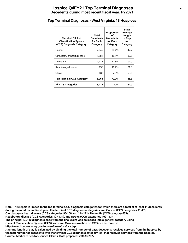# **Hospice Q4FY21 Top Terminal Diagnoses <sup>52</sup> Decedents during most recent fiscal year, FY2021**

#### **Top Terminal Diagnoses - West Virginia, 18 Hospices**

| <b>Terminal Clinical</b><br><b>Classification System</b><br>(CCS) Diagnosis Category | Total<br><b>Decedents</b><br>for Each<br>Category | Proportion<br>οf<br><b>Decedents</b><br>for Each<br>Category | <b>State</b><br>Average<br>Length<br>of Stay<br>for<br>Category |
|--------------------------------------------------------------------------------------|---------------------------------------------------|--------------------------------------------------------------|-----------------------------------------------------------------|
| Cancer                                                                               | 2.646                                             | 30.4%                                                        | 42.7                                                            |
| Circulatory or heart disease                                                         | 1,581                                             | 18.1%                                                        | 82.8                                                            |
| Dementia                                                                             | 1.118                                             | 12.8%                                                        | 101.0                                                           |
| Respiratory disease                                                                  | 936                                               | 10.7%                                                        | 71.8                                                            |
| <b>Stroke</b>                                                                        | 687                                               | 7.9%                                                         | 55.6                                                            |
| <b>Top Terminal CCS Category</b>                                                     | 6,968                                             | 79.9%                                                        | 66.3                                                            |
| <b>All CCS Categories</b>                                                            | 8,716                                             | 100%                                                         | 62.0                                                            |